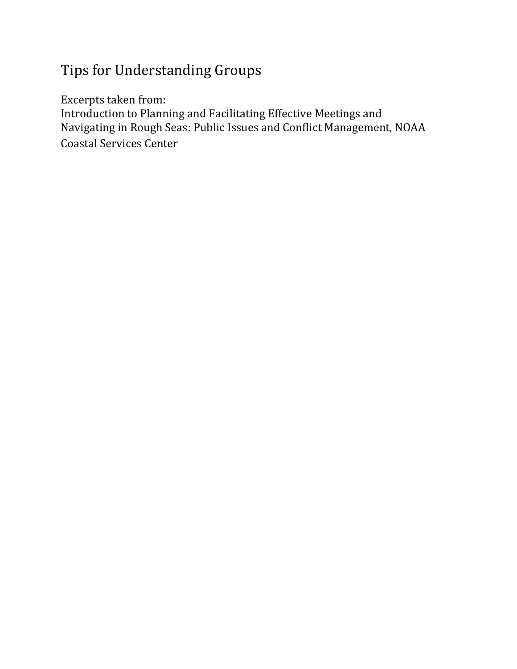## Tips for Understanding Groups

Excerpts taken from:

Introduction to Planning and Facilitating Effective Meetings and Navigating in Rough Seas: Public Issues and Conflict Management, NOAA Coastal Services Center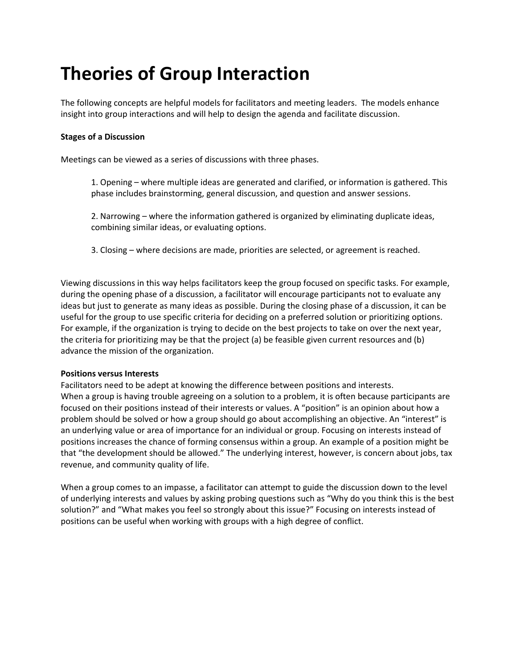# **Theories of Group Interaction**

The following concepts are helpful models for facilitators and meeting leaders. The models enhance insight into group interactions and will help to design the agenda and facilitate discussion.

#### **Stages of a Discussion**

Meetings can be viewed as a series of discussions with three phases.

1. Opening – where multiple ideas are generated and clarified, or information is gathered. This phase includes brainstorming, general discussion, and question and answer sessions.

2. Narrowing – where the information gathered is organized by eliminating duplicate ideas, combining similar ideas, or evaluating options.

3. Closing – where decisions are made, priorities are selected, or agreement is reached.

Viewing discussions in this way helps facilitators keep the group focused on specific tasks. For example, during the opening phase of a discussion, a facilitator will encourage participants not to evaluate any ideas but just to generate as many ideas as possible. During the closing phase of a discussion, it can be useful for the group to use specific criteria for deciding on a preferred solution or prioritizing options. For example, if the organization is trying to decide on the best projects to take on over the next year, the criteria for prioritizing may be that the project (a) be feasible given current resources and (b) advance the mission of the organization.

#### **Positions versus Interests**

Facilitators need to be adept at knowing the difference between positions and interests. When a group is having trouble agreeing on a solution to a problem, it is often because participants are focused on their positions instead of their interests or values. A "position" is an opinion about how a problem should be solved or how a group should go about accomplishing an objective. An "interest" is an underlying value or area of importance for an individual or group. Focusing on interests instead of positions increases the chance of forming consensus within a group. An example of a position might be that "the development should be allowed." The underlying interest, however, is concern about jobs, tax revenue, and community quality of life.

When a group comes to an impasse, a facilitator can attempt to guide the discussion down to the level of underlying interests and values by asking probing questions such as "Why do you think this is the best solution?" and "What makes you feel so strongly about this issue?" Focusing on interests instead of positions can be useful when working with groups with a high degree of conflict.